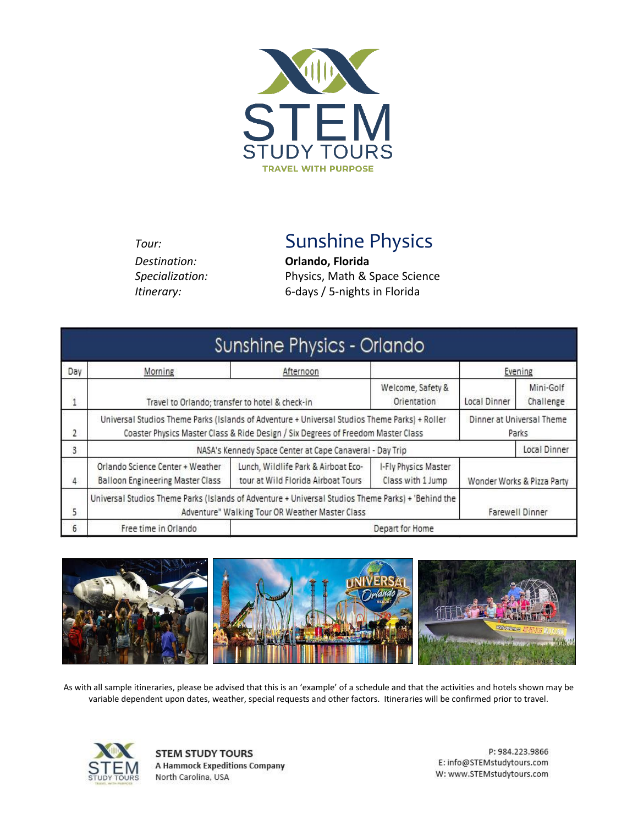

*Destination:* **Orlando, Florida**

*Tour:* Sunshine Physics

*Specialization:* Physics, Math & Space Science *Itinerary:* 6*-*days / 5-nights in Florida

|                |                                                                                                                                                                                                                         | Sunshine Physics - Orlando                                                |                                           |                        |                            |
|----------------|-------------------------------------------------------------------------------------------------------------------------------------------------------------------------------------------------------------------------|---------------------------------------------------------------------------|-------------------------------------------|------------------------|----------------------------|
| Day            | Morning                                                                                                                                                                                                                 | Afternoon                                                                 |                                           | Evening                |                            |
| $\overline{1}$ | Welcome, Safety &<br>Orientation<br>Travel to Orlando; transfer to hotel & check-in                                                                                                                                     |                                                                           | Local Dinner                              | Mini-Golf<br>Challenge |                            |
| 2              | Universal Studios Theme Parks (Islands of Adventure + Universal Studios Theme Parks) + Roller<br>Dinner at Universal Theme<br>Coaster Physics Master Class & Ride Design / Six Degrees of Freedom Master Class<br>Parks |                                                                           |                                           |                        |                            |
| 3              |                                                                                                                                                                                                                         | NASA's Kennedy Space Center at Cape Canaveral - Day Trip                  |                                           | Local Dinner           |                            |
| 4              | Orlando Science Center + Weather<br><b>Balloon Engineering Master Class</b>                                                                                                                                             | Lunch, Wildlife Park & Airboat Eco-<br>tour at Wild Florida Airboat Tours | I-Fly Physics Master<br>Class with 1 Jump |                        | Wonder Works & Pizza Party |
| 5              | Universal Studios Theme Parks (Islands of Adventure + Universal Studios Theme Parks) + 'Behind the<br><b>Farewell Dinner</b><br>Adventure" Walking Tour OR Weather Master Class                                         |                                                                           |                                           |                        |                            |
| 6              | Free time in Orlando                                                                                                                                                                                                    |                                                                           | Depart for Home                           |                        |                            |



As with all sample itineraries, please be advised that this is an 'example' of a schedule and that the activities and hotels shown may be variable dependent upon dates, weather, special requests and other factors. Itineraries will be confirmed prior to travel.



**STEM STUDY TOURS A Hammock Expeditions Company** North Carolina, USA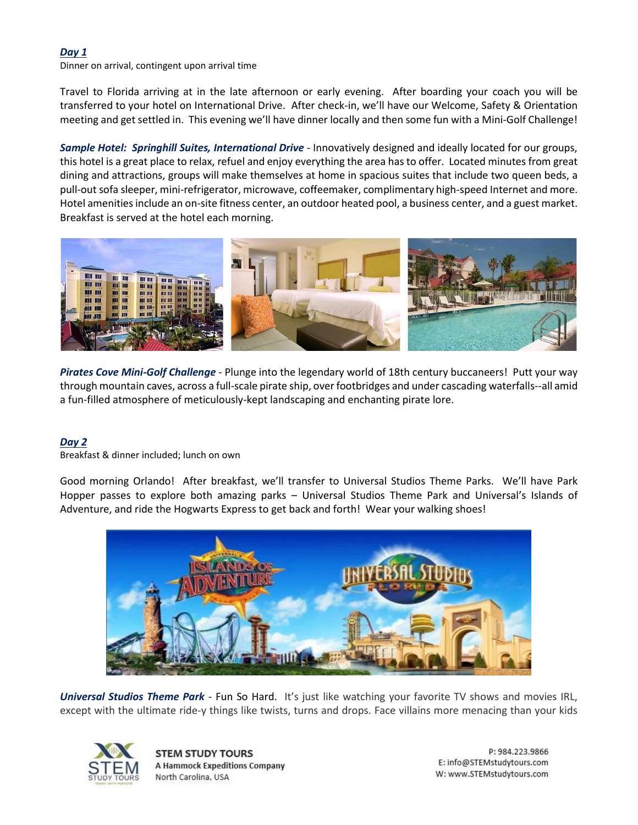### *Day 1*

Dinner on arrival, contingent upon arrival time

Travel to Florida arriving at in the late afternoon or early evening. After boarding your coach you will be transferred to your hotel on International Drive. After check-in, we'll have our Welcome, Safety & Orientation meeting and get settled in. This evening we'll have dinner locally and then some fun with a Mini-Golf Challenge!

*Sample Hotel: Springhill Suites, International Drive* - Innovatively designed and ideally located for our groups, this hotel is a great place to relax, refuel and enjoy everything the area has to offer. Located minutes from great dining and attractions, groups will make themselves at home in spacious suites that include two queen beds, a pull-out sofa sleeper, mini-refrigerator, microwave, coffeemaker, complimentary high-speed Internet and more. Hotel amenities include an on-site fitness center, an outdoor heated pool, a business center, and a guest market. Breakfast is served at the hotel each morning.



*Pirates Cove Mini-Golf Challenge* - Plunge into the legendary world of 18th century buccaneers! Putt your way through mountain caves, across a full-scale pirate ship, over footbridges and under cascading waterfalls--all amid a fun-filled atmosphere of meticulously-kept landscaping and enchanting pirate lore.

# *Day 2*

Breakfast & dinner included; lunch on own

Good morning Orlando! After breakfast, we'll transfer to Universal Studios Theme Parks. We'll have Park Hopper passes to explore both amazing parks – Universal Studios Theme Park and Universal's Islands of Adventure, and ride the Hogwarts Express to get back and forth! Wear your walking shoes!



*Universal Studios Theme Park* - Fun So Hard. It's just like watching your favorite TV shows and movies IRL, except with the ultimate ride-y things like twists, turns and drops. Face villains more menacing than your kids



**STEM STUDY TOURS A Hammock Expeditions Company** North Carolina, USA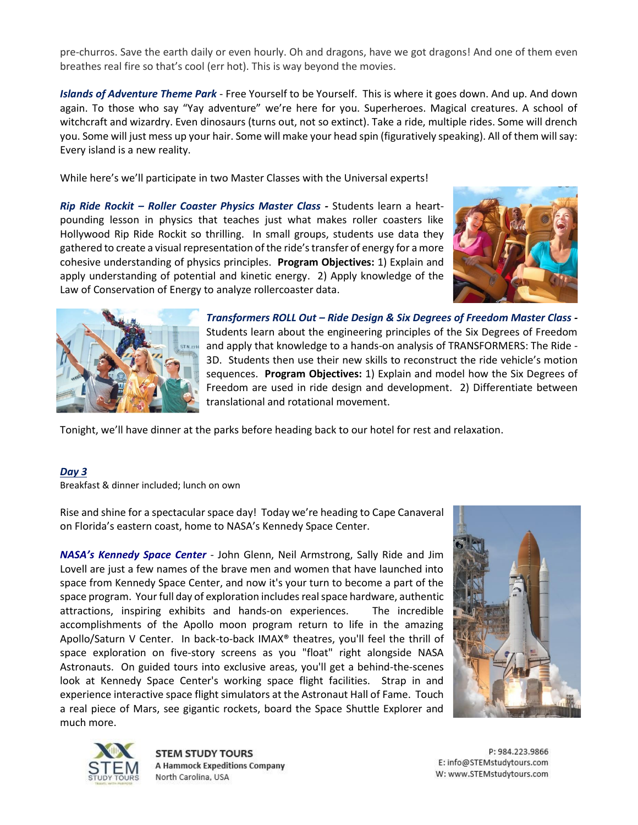pre-churros. Save the earth daily or even hourly. Oh and dragons, have we got dragons! And one of them even breathes real fire so that's cool (err hot). This is way beyond the movies.

*Islands of Adventure Theme Park* - Free Yourself to be Yourself. This is where it goes down. And up. And down again. To those who say "Yay adventure" we're here for you. Superheroes. Magical creatures. A school of witchcraft and wizardry. Even dinosaurs (turns out, not so extinct). Take a ride, multiple rides. Some will drench you. Some will just mess up your hair. Some will make your head spin (figuratively speaking). All of them will say: Every island is a new reality.

While here's we'll participate in two Master Classes with the Universal experts!

*Rip Ride Rockit – Roller Coaster Physics Master Class -* Students learn a heartpounding lesson in physics that teaches just what makes roller coasters like Hollywood Rip Ride Rockit so thrilling. In small groups, students use data they gathered to create a visual representation of the ride's transfer of energy for a more cohesive understanding of physics principles. **Program Objectives:** 1) Explain and apply understanding of potential and kinetic energy. 2) Apply knowledge of the Law of Conservation of Energy to analyze rollercoaster data.





*Transformers ROLL Out – Ride Design & Six Degrees of Freedom Master Class -* Students learn about the engineering principles of the Six Degrees of Freedom and apply that knowledge to a hands-on analysis of TRANSFORMERS: The Ride - 3D. Students then use their new skills to reconstruct the ride vehicle's motion sequences. **Program Objectives:** 1) Explain and model how the Six Degrees of Freedom are used in ride design and development. 2) Differentiate between translational and rotational movement.

Tonight, we'll have dinner at the parks before heading back to our hotel for rest and relaxation.

#### *Day 3*

Breakfast & dinner included; lunch on own

Rise and shine for a spectacular space day! Today we're heading to Cape Canaveral on Florida's eastern coast, home to NASA's Kennedy Space Center.

*NASA's Kennedy Space Center* - John Glenn, Neil Armstrong, Sally Ride and Jim Lovell are just a few names of the brave men and women that have launched into space from Kennedy Space Center, and now it's your turn to become a part of the space program. Your full day of exploration includes real space hardware, authentic attractions, inspiring exhibits and hands-on experiences. The incredible accomplishments of the Apollo moon program return to life in the amazing Apollo/Saturn V Center. In back-to-back IMAX® theatres, you'll feel the thrill of space exploration on five-story screens as you "float" right alongside NASA Astronauts. On guided tours into exclusive areas, you'll get a behind-the-scenes look at Kennedy Space Center's working space flight facilities. Strap in and experience interactive space flight simulators at the Astronaut Hall of Fame. Touch a real piece of Mars, see gigantic rockets, board the Space Shuttle Explorer and much more.





**STEM STUDY TOURS A Hammock Expeditions Company** North Carolina, USA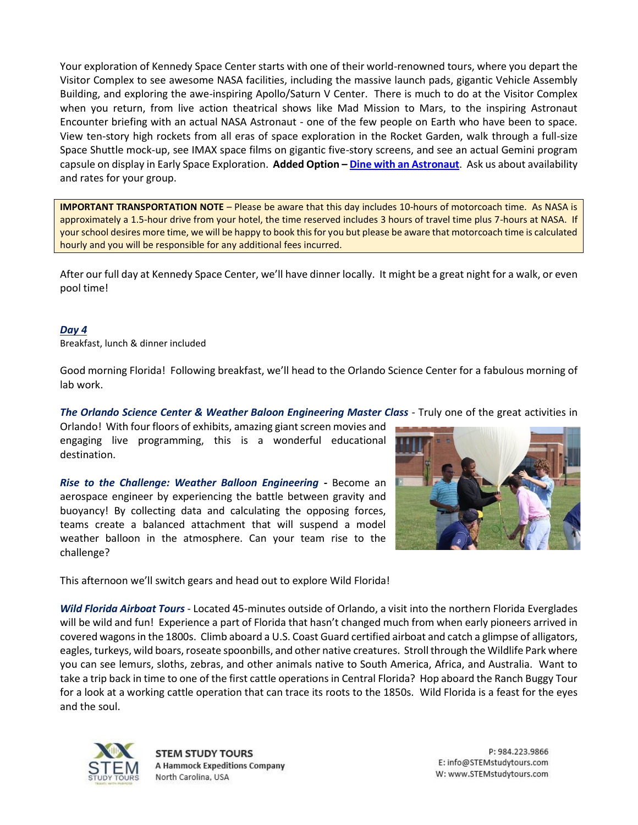Your exploration of Kennedy Space Center starts with one of their world-renowned tours, where you depart the Visitor Complex to see awesome NASA facilities, including the massive launch pads, gigantic Vehicle Assembly Building, and exploring the awe-inspiring Apollo/Saturn V Center. There is much to do at the Visitor Complex when you return, from live action theatrical shows like Mad Mission to Mars, to the inspiring Astronaut Encounter briefing with an actual NASA Astronaut - one of the few people on Earth who have been to space. View ten-story high rockets from all eras of space exploration in the Rocket Garden, walk through a full-size Space Shuttle mock-up, see IMAX space films on gigantic five-story screens, and see an actual Gemini program capsule on display in Early Space Exploration. **Added Option – Dine [with an Astronaut](https://www.kennedyspacecenter.com/blog/meet-an-astronaut)**. Ask us about availability and rates for your group.

**IMPORTANT TRANSPORTATION NOTE** – Please be aware that this day includes 10-hours of motorcoach time. As NASA is approximately a 1.5-hour drive from your hotel, the time reserved includes 3 hours of travel time plus 7-hours at NASA. If your school desires more time, we will be happy to book this for you but please be aware that motorcoach time is calculated hourly and you will be responsible for any additional fees incurred.

After our full day at Kennedy Space Center, we'll have dinner locally. It might be a great night for a walk, or even pool time!

#### *Day 4*

Breakfast, lunch & dinner included

Good morning Florida! Following breakfast, we'll head to the Orlando Science Center for a fabulous morning of lab work.

*The Orlando Science Center & Weather Baloon Engineering Master Class* - Truly one of the great activities in

Orlando! With four floors of exhibits, amazing giant screen movies and engaging live programming, this is a wonderful educational destination.

*Rise to the Challenge: Weather Balloon Engineering -* Become an aerospace engineer by experiencing the battle between gravity and buoyancy! By collecting data and calculating the opposing forces, teams create a balanced attachment that will suspend a model weather balloon in the atmosphere. Can your team rise to the challenge?



This afternoon we'll switch gears and head out to explore Wild Florida!

*Wild Florida Airboat Tours* - Located 45-minutes outside of Orlando, a visit into the northern Florida Everglades will be wild and fun! Experience a part of Florida that hasn't changed much from when early pioneers arrived in covered wagons in the 1800s. Climb aboard a U.S. Coast Guard certified airboat and catch a glimpse of alligators, eagles, turkeys, wild boars, roseate spoonbills, and other native creatures. Stroll through the Wildlife Park where you can see lemurs, sloths, zebras, and other animals native to South America, Africa, and Australia. Want to take a trip back in time to one of the first cattle operations in Central Florida? Hop aboard the Ranch Buggy Tour for a look at a working cattle operation that can trace its roots to the 1850s. Wild Florida is a feast for the eyes and the soul.



**STEM STUDY TOURS A Hammock Expeditions Company** North Carolina, USA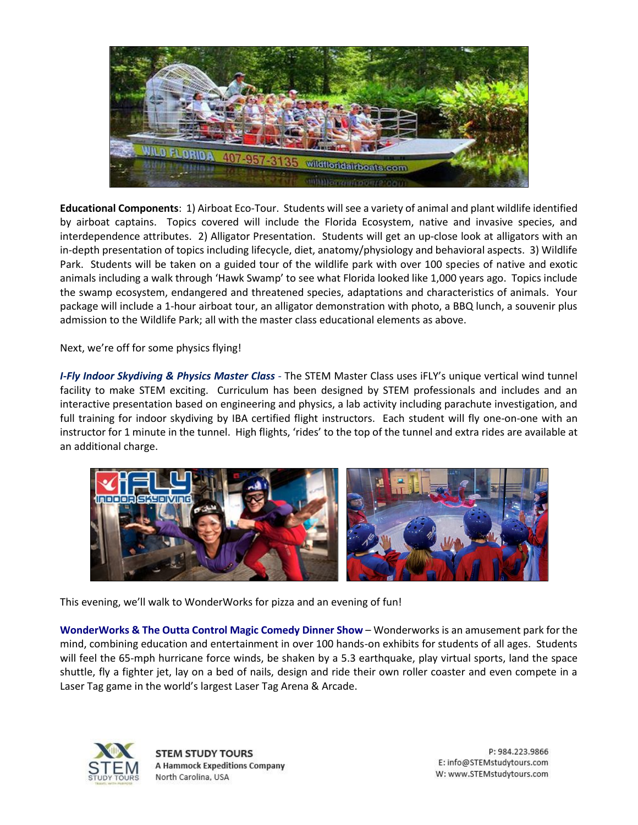

**Educational Components**: 1) Airboat Eco-Tour. Students will see a variety of animal and plant wildlife identified by airboat captains. Topics covered will include the Florida Ecosystem, native and invasive species, and interdependence attributes. 2) Alligator Presentation. Students will get an up-close look at alligators with an in-depth presentation of topics including lifecycle, diet, anatomy/physiology and behavioral aspects. 3) Wildlife Park. Students will be taken on a guided tour of the wildlife park with over 100 species of native and exotic animals including a walk through 'Hawk Swamp' to see what Florida looked like 1,000 years ago. Topics include the swamp ecosystem, endangered and threatened species, adaptations and characteristics of animals. Your package will include a 1-hour airboat tour, an alligator demonstration with photo, a BBQ lunch, a souvenir plus admission to the Wildlife Park; all with the master class educational elements as above.

Next, we're off for some physics flying!

*I-Fly Indoor Skydiving & Physics Master Class* - The STEM Master Class uses iFLY's unique vertical wind tunnel facility to make STEM exciting. Curriculum has been designed by STEM professionals and includes and an interactive presentation based on engineering and physics, a lab activity including parachute investigation, and full training for indoor skydiving by IBA certified flight instructors. Each student will fly one-on-one with an instructor for 1 minute in the tunnel. High flights, 'rides' to the top of the tunnel and extra rides are available at an additional charge.



This evening, we'll walk to WonderWorks for pizza and an evening of fun!

**WonderWorks & The Outta Control Magic Comedy Dinner Show** – Wonderworks is an amusement park for the mind, combining education and entertainment in over 100 hands-on exhibits for students of all ages. Students will feel the 65-mph hurricane force winds, be shaken by a 5.3 earthquake, play virtual sports, land the space shuttle, fly a fighter jet, lay on a bed of nails, design and ride their own roller coaster and even compete in a Laser Tag game in the world's largest Laser Tag Arena & Arcade.



**STEM STUDY TOURS A Hammock Expeditions Company** North Carolina, USA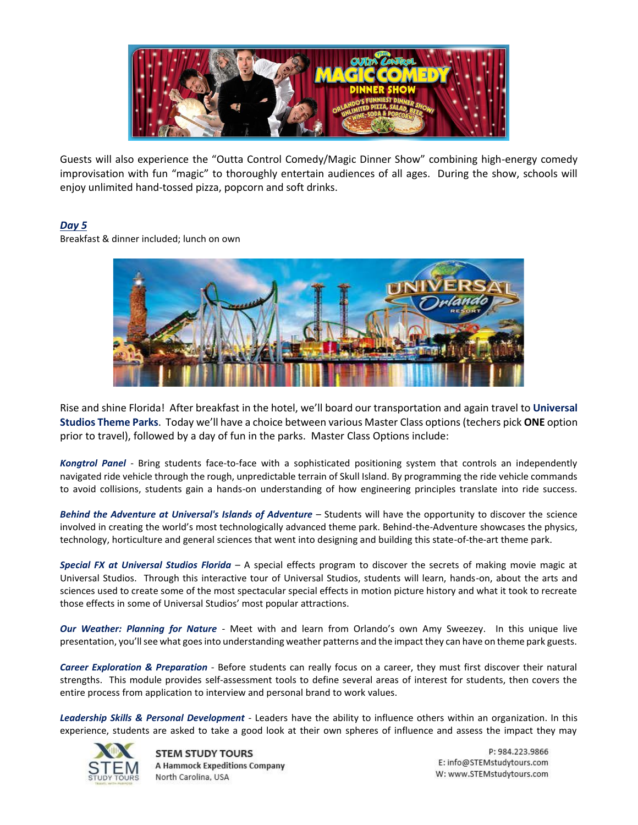

Guests will also experience the "Outta Control Comedy/Magic Dinner Show" combining high-energy comedy improvisation with fun "magic" to thoroughly entertain audiences of all ages. During the show, schools will enjoy unlimited hand-tossed pizza, popcorn and soft drinks.

# *Day 5*

Breakfast & dinner included; lunch on own



Rise and shine Florida! After breakfast in the hotel, we'll board our transportation and again travel to **Universal Studios Theme Parks**. Today we'll have a choice between various Master Class options (techers pick **ONE** option prior to travel), followed by a day of fun in the parks. Master Class Options include:

*Kongtrol Panel* - Bring students face-to-face with a sophisticated positioning system that controls an independently navigated ride vehicle through the rough, unpredictable terrain of Skull Island. By programming the ride vehicle commands to avoid collisions, students gain a hands-on understanding of how engineering principles translate into ride success.

*Behind the Adventure at Universal's Islands of Adventure* – Students will have the opportunity to discover the science involved in creating the world's most technologically advanced theme park. Behind-the-Adventure showcases the physics, technology, horticulture and general sciences that went into designing and building this state-of-the-art theme park.

*Special FX at Universal Studios Florida* – A special effects program to discover the secrets of making movie magic at Universal Studios. Through this interactive tour of Universal Studios, students will learn, hands-on, about the arts and sciences used to create some of the most spectacular special effects in motion picture history and what it took to recreate those effects in some of Universal Studios' most popular attractions.

*Our Weather: Planning for Nature* - Meet with and learn from Orlando's own Amy Sweezey. In this unique live presentation, you'll see what goes into understanding weather patterns and the impact they can have on theme park guests.

*Career Exploration & Preparation* - Before students can really focus on a career, they must first discover their natural strengths. This module provides self-assessment tools to define several areas of interest for students, then covers the entire process from application to interview and personal brand to work values.

*Leadership Skills & Personal Development* - Leaders have the ability to influence others within an organization. In this experience, students are asked to take a good look at their own spheres of influence and assess the impact they may



**STEM STUDY TOURS A Hammock Expeditions Company** North Carolina, USA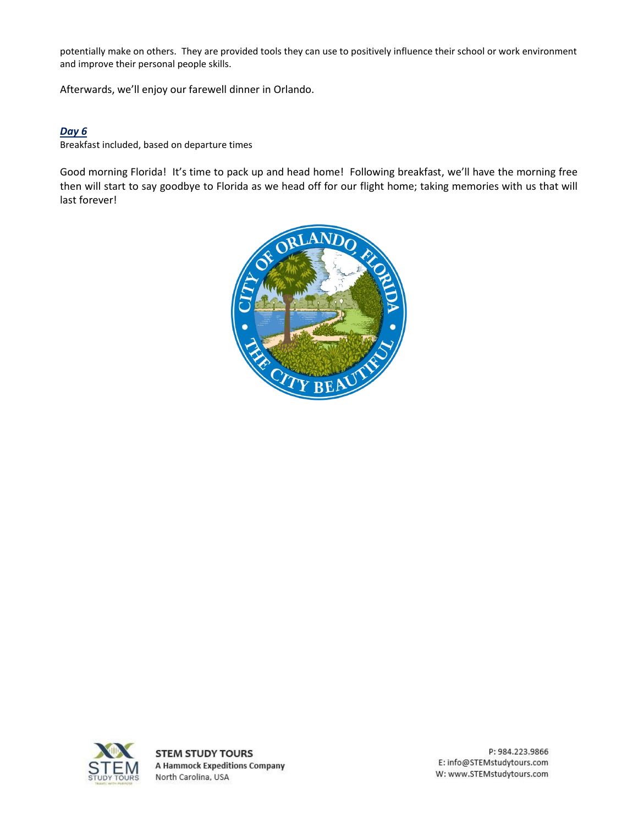potentially make on others. They are provided tools they can use to positively influence their school or work environment and improve their personal people skills.

Afterwards, we'll enjoy our farewell dinner in Orlando.

## *Day 6*

Breakfast included, based on departure times

Good morning Florida! It's time to pack up and head home! Following breakfast, we'll have the morning free then will start to say goodbye to Florida as we head off for our flight home; taking memories with us that will last forever!





**STEM STUDY TOURS A Hammock Expeditions Company** North Carolina, USA